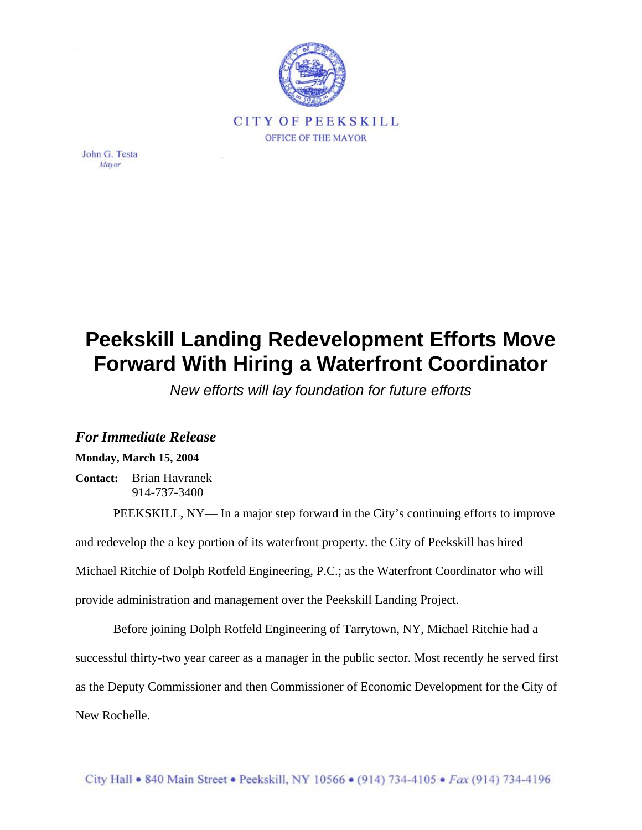

John G. Testa Mayor

## **Peekskill Landing Redevelopment Efforts Move Forward With Hiring a Waterfront Coordinator**

*New efforts will lay foundation for future efforts*

## *For Immediate Release*

## **Monday, March 15, 2004**

**Contact:** Brian Havranek 914-737-3400

PEEKSKILL, NY— In a major step forward in the City's continuing efforts to improve and redevelop the a key portion of its waterfront property. the City of Peekskill has hired Michael Ritchie of Dolph Rotfeld Engineering, P.C.; as the Waterfront Coordinator who will provide administration and management over the Peekskill Landing Project.

Before joining Dolph Rotfeld Engineering of Tarrytown, NY, Michael Ritchie had a successful thirty-two year career as a manager in the public sector. Most recently he served first as the Deputy Commissioner and then Commissioner of Economic Development for the City of New Rochelle.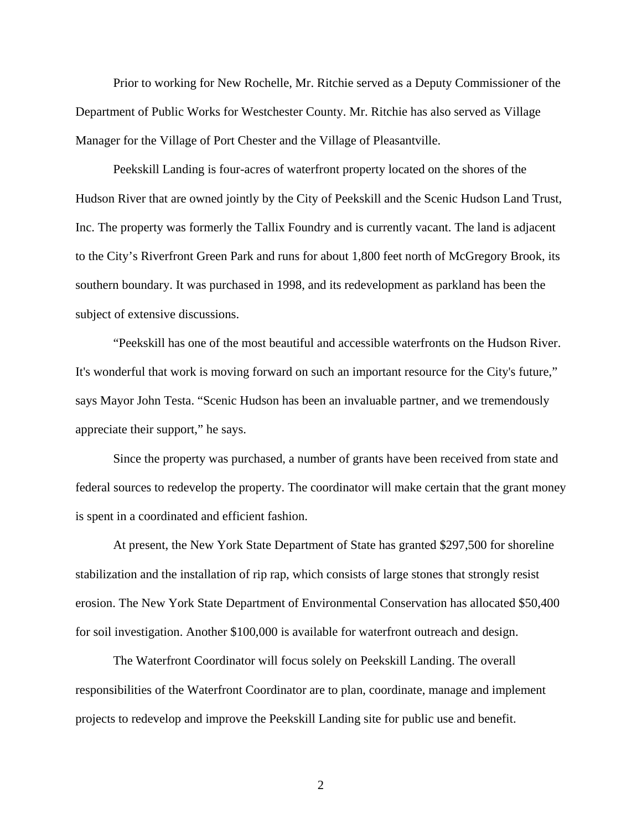Prior to working for New Rochelle, Mr. Ritchie served as a Deputy Commissioner of the Department of Public Works for Westchester County. Mr. Ritchie has also served as Village Manager for the Village of Port Chester and the Village of Pleasantville.

Peekskill Landing is four-acres of waterfront property located on the shores of the Hudson River that are owned jointly by the City of Peekskill and the Scenic Hudson Land Trust, Inc. The property was formerly the Tallix Foundry and is currently vacant. The land is adjacent to the City's Riverfront Green Park and runs for about 1,800 feet north of McGregory Brook, its southern boundary. It was purchased in 1998, and its redevelopment as parkland has been the subject of extensive discussions.

"Peekskill has one of the most beautiful and accessible waterfronts on the Hudson River. It's wonderful that work is moving forward on such an important resource for the City's future," says Mayor John Testa. "Scenic Hudson has been an invaluable partner, and we tremendously appreciate their support," he says.

Since the property was purchased, a number of grants have been received from state and federal sources to redevelop the property. The coordinator will make certain that the grant money is spent in a coordinated and efficient fashion.

At present, the New York State Department of State has granted \$297,500 for shoreline stabilization and the installation of rip rap, which consists of large stones that strongly resist erosion. The New York State Department of Environmental Conservation has allocated \$50,400 for soil investigation. Another \$100,000 is available for waterfront outreach and design.

The Waterfront Coordinator will focus solely on Peekskill Landing. The overall responsibilities of the Waterfront Coordinator are to plan, coordinate, manage and implement projects to redevelop and improve the Peekskill Landing site for public use and benefit.

2